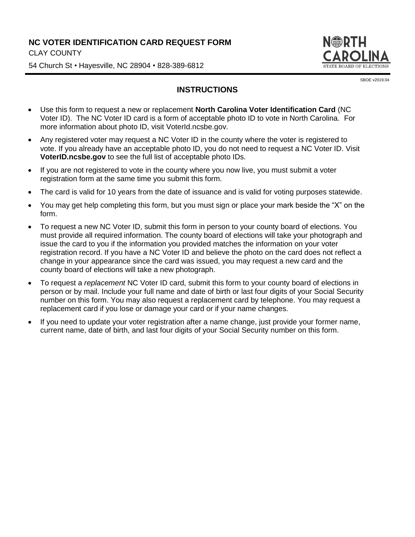## **NC VOTER IDENTIFICATION CARD REQUEST FORM** CLAY COUNTY

54 Church St • Hayesville, NC 28904 • 828-389-6812



SBOE v2019.04

## **INSTRUCTIONS**

- Use this form to request a new or replacement **North Carolina Voter Identification Card** (NC Voter ID). The NC Voter ID card is a form of acceptable photo ID to vote in North Carolina. For more information about photo ID, visit VoterId.ncsbe.gov.
- Any registered voter may request a NC Voter ID in the county where the voter is registered to vote. If you already have an acceptable photo ID, you do not need to request a NC Voter ID. Visit **VoterID.ncsbe.gov** to see the full list of acceptable photo IDs.
- If you are not registered to vote in the county where you now live, you must submit a voter registration form at the same time you submit this form.
- The card is valid for 10 years from the date of issuance and is valid for voting purposes statewide.
- You may get help completing this form, but you must sign or place your mark beside the "X" on the form.
- To request a new NC Voter ID, submit this form in person to your county board of elections. You must provide all required information. The county board of elections will take your photograph and issue the card to you if the information you provided matches the information on your voter registration record. If you have a NC Voter ID and believe the photo on the card does not reflect a change in your appearance since the card was issued, you may request a new card and the county board of elections will take a new photograph.
- To request a *replacement* NC Voter ID card, submit this form to your county board of elections in person or by mail. Include your full name and date of birth or last four digits of your Social Security number on this form. You may also request a replacement card by telephone. You may request a replacement card if you lose or damage your card or if your name changes.
- If you need to update your voter registration after a name change, just provide your former name, current name, date of birth, and last four digits of your Social Security number on this form.